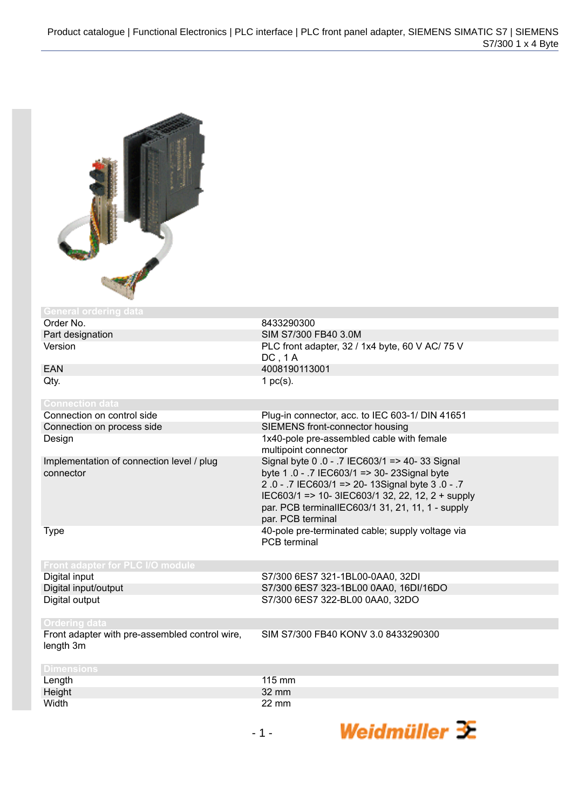

| <b>General ordering data</b>              |                                                  |
|-------------------------------------------|--------------------------------------------------|
| Order No.                                 | 8433290300                                       |
| Part designation                          | SIM S7/300 FB40 3.0M                             |
| Version                                   | PLC front adapter, 32 / 1x4 byte, 60 V AC/ 75 V  |
|                                           | DC, 1A                                           |
| EAN                                       | 4008190113001                                    |
| Qty.                                      | 1 $pc(s)$ .                                      |
|                                           |                                                  |
| <b>Connection data</b>                    |                                                  |
| Connection on control side                | Plug-in connector, acc. to IEC 603-1/ DIN 41651  |
| Connection on process side                | SIEMENS front-connector housing                  |
| Design                                    | 1x40-pole pre-assembled cable with female        |
|                                           | multipoint connector                             |
| Implementation of connection level / plug | Signal byte 0 .0 - .7 IEC603/1 => 40-33 Signal   |
| connector                                 | byte 1.0 - .7 IEC603/1 => 30- 23Signal byte      |
|                                           | 2.0 - .7 IEC603/1 => 20-13Signal byte 3.0 - .7   |
|                                           | IEC603/1 => 10- 3IEC603/1 32, 22, 12, 2 + supply |
|                                           | par. PCB terminalIEC603/1 31, 21, 11, 1 - supply |
|                                           | par. PCB terminal                                |
| <b>Type</b>                               | 40-pole pre-terminated cable; supply voltage via |
|                                           | <b>PCB</b> terminal                              |
|                                           |                                                  |
| Front adapter for PLC I/O module          |                                                  |
| Digital input                             | S7/300 6ES7 321-1BL00-0AA0, 32DI                 |
| Digital input/output                      | S7/300 6ES7 323-1BL00 0AA0, 16DI/16DO            |

| Digital Imputoutput  |  |
|----------------------|--|
| Digital output       |  |
|                      |  |
|                      |  |
| <b>Ordering data</b> |  |

Front adapter with pre-assembled control wire, length 3m

SIM S7/300 FB40 KONV 3.0 8433290300

S7/300 6ES7 322-BL00 0AA0, 32DO

|  |           | . auaptor |  |
|--|-----------|-----------|--|
|  | lenath 3m |           |  |

| <b>Dimensions</b> |        |
|-------------------|--------|
|                   | 115 mm |
| Length<br>Height  | 32 mm  |
| Width             | 22 mm  |